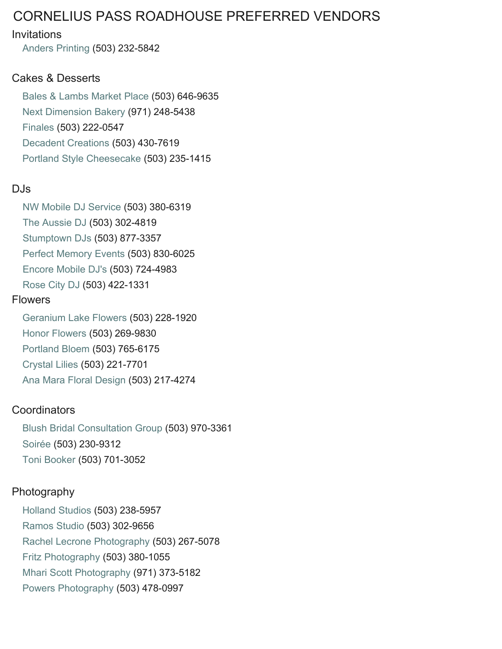# CORNELIUS PASS ROADHOUSE PREFERRED VENDORS

#### Invitations

[Anders Printing](http://www.andersprinting.com/) (503) 232-5842

#### Cakes & Desserts

[Bales & Lambs Market Place](https://www.balesmarketplace.com/Pages/410/Scratch_Bakery/) (503) 646-9635 [Next Dimension Bakery](https://www.nextdimensionbakery.com/) (971) 248-5438 [Finales](http://www.finalesdesserts.com/) (503) 222-0547 [Decadent Creations](http://decadentcreations.com/) (503) 430-7619 [Portland Style Cheesecake](http://www.pscheesecake.com/) (503) 235-1415

#### DJs

[NW Mobile DJ Service](http://nwmobiledjservice.com/) (503) 380-6319 [The Aussie DJ](http://theaussiedj.com/) (503) 302-4819 [Stumptown DJs](http://www.stumptowndjs.com/) (503) 877-3357 [Perfect Memory Events](http://www.perfectmemorydj.com/) (503) 830-6025 [Encore Mobile DJ's](http://www.encoremobiledjs.com/) (503) 724-4983 [Rose City DJ](https://www.rosecitydjs.com/) (503) 422-1331

#### Flowers

[Geranium Lake Flowers](http://geraniumlake.com/A) (503) 228-1920 [Honor Flowers](http://www.honorflowers.com/) (503) 269-9830 [Portland Bloem](http://www.portlandbloem.com) (503) 765-6175 [Crystal Lilies](http://www.crystallilies.com/) (503) 221-7701 [Ana Mara Floral Design](http://annamaraflowers.com/) (503) 217-4274

#### **Coordinators**

Blush Bridal [Consultation Group](https://www.blushbridalevents.com/) (503) 970-3361 [Soirée](http://www.bonsoiree.com/) (503) 230-9312 [Toni Booker](https://www.purplelillyevents.com/) (503) 701-3052

#### Photography

[Holland Studios](http://www.hollandstudios.com/) (503) 238-5957 [Ramos Studio](http://www.ramosstudios.com/) (503) 302-9656 [Rachel Lecrone Photography](http://rachellecronephotography.com/) (503) 267-5078 [Fritz Photography](http://www.fritzphoto.com) (503) 380-1055 [Mhari Scott Photography](http://www.mhariscott.com/) (971) 373-5182 [Powers Photography](http://powersstudios.com/) (503) 478-0997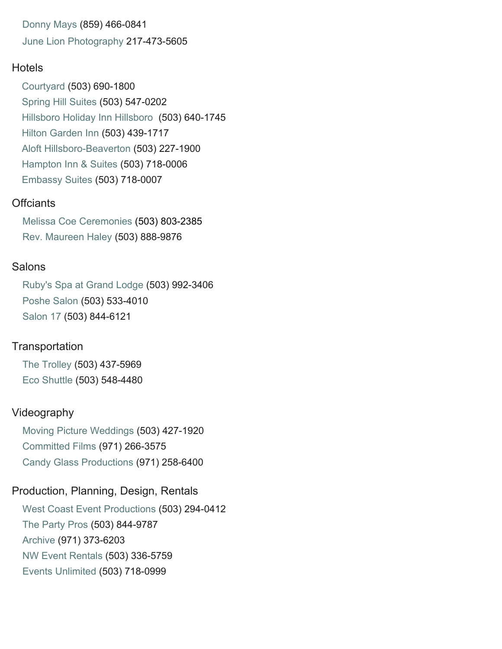[Donny Mays](http://www.donnymays.com/) (859) 466-0841 [June Lion Photography](http://junelion.com/) 217-473-5605

#### **H[otels](http://www.marriott.com/hotels/travel/pdxhs-courtyard-portland-hillsboro/)**

[Courtyard](http://www.marriott.com/hotels/travel/pdxhs-courtyard-portland-hillsboro/) (503) 690-1800 [Spring Hill Suites](http://www.marriott.com/hotels/travel/pdxhl-springhill-suites-portland-hillsboro/) (503) 547-0202 [Hillsboro Holiday Inn Hillsboro](https://www.ihg.com/holidayinn/hotels/us/en/hillsboro/hioho/hoteldetail?cm_mmc=YextLocal-_-USA-_-HIOHO) (503) 640-1745 [Hilton Garden Inn](http://hiltongardeninn3.hilton.com/en/hotels/oregon/hilton-garden-inn-portland-beaverton-PDXBHGI/index.html) (503) 439-1717 [Aloft Hillsboro-Beaverton](https://www.marriott.com/hotels/travel/pdxah-aloft-hillsboro-beaverton/) (503) 227-1900 [Hampton Inn & Suites](http://www.hilton.com/search/hp/us/or/portland/hillsboro/00000000000/0/0/0/0/50?wt.srch=1) (503) 718-0006 [Embassy Suites](http://embassysuites3.hilton.com/en/hotels/oregon/embassy-suites-portland-hillsboro-oregon-PDXHTES/index.html) (503) 718-0007

#### **Offciants**

[Melissa Coe Ceremonies](http://melissacoeceremonies.com/) (503) 803-2385 [Rev. Maureen Haley](http://portlandministers.com/) (503) 888-9876

#### **Salons**

[Ruby's Spa at Grand Lodge](http://www.mcmenamins.com/63-gl-ruby-s-spa-home) (503) 992-3406 [Poshe Salon](http://poshe-salon.com/) (503) 533-4010 [Salon 17](http://salon17.com/) (503) 844-6121

#### **Transportation**

[The Trolley](http://www.the-trolley.com/) (503) 437-5969 [Eco Shuttle](http://www.ecoshuttle.net/) (503) 548-4480

#### Videography

[Moving Picture Weddings](http://movingpictureweddings.com/) (503) 427-1920 [Committed Films](http://www.committedfilms.com/) (971) 266-3575 [Candy Glass Productions](http://www.candyglassproductions.com/) (971) 258-6400

## Production, Planning, Design, Rentals

[West Coast Event Productions](https://wcep.com/) (503) 294-0412 [The Party Pros](https://thepartypros.com/) (503) 844-9787 [Archive](https://archiverentals.com/) (971) 373-6203 NW Event [Rentals](https://www.eventrentalsnw.com/) (503) 336-5759 [Events Unlimited](https://www.eventsunlimited.com/) (503) 718-0999